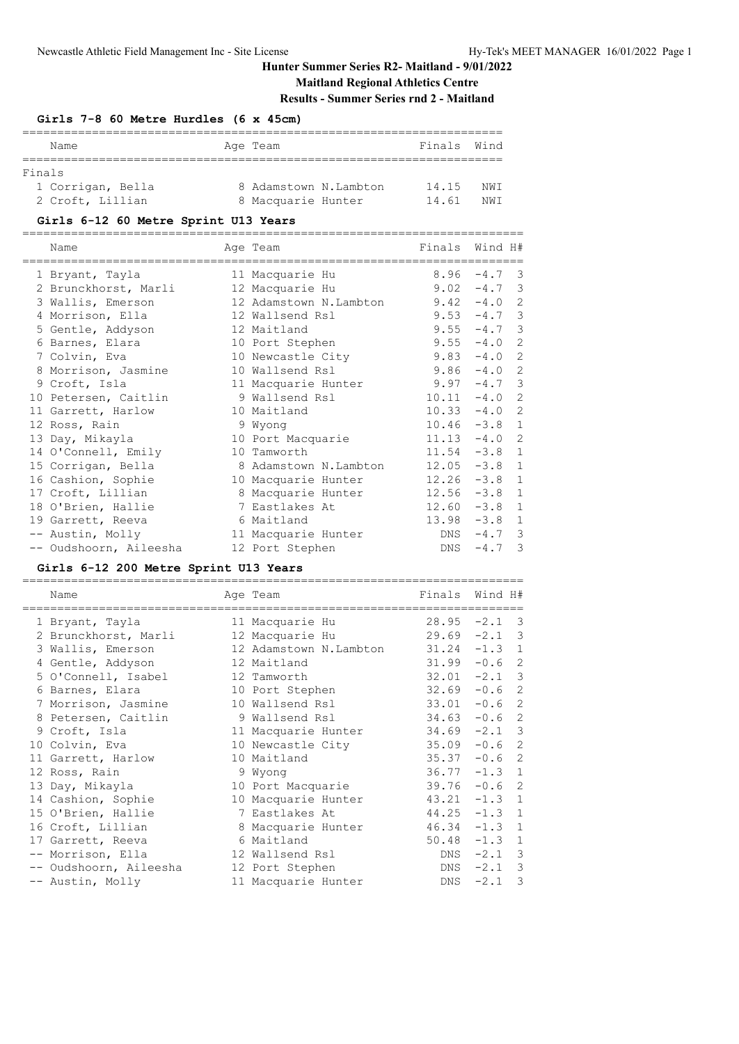# **Maitland Regional Athletics Centre**

**Results - Summer Series rnd 2 - Maitland**

| Girls 7-8 60 Metre Hurdles (6 x 45cm) |                       |             |     |
|---------------------------------------|-----------------------|-------------|-----|
| Name                                  | Age Team              | Finals Wind |     |
| Finals<br>1 Corrigan, Bella           | 8 Adamstown N.Lambton | 14.15       | NWT |
| 2 Croft, Lillian                      | 8 Macquarie Hunter    | 14.61       | NWT |

### **Girls 6-12 60 Metre Sprint U13 Years**

======================================================================== Finals Wind H#

|  | 1 Bryant, Tayla        | 11 Macquarie Hu        |     | $8.96 - 4.7$ 3  |              |
|--|------------------------|------------------------|-----|-----------------|--------------|
|  | 2 Brunckhorst, Marli   | 12 Macquarie Hu        |     | $9.02 - 4.7$ 3  |              |
|  | 3 Wallis, Emerson      | 12 Adamstown N.Lambton |     | $9.42 - 4.0 2$  |              |
|  | 4 Morrison, Ella       | 12 Wallsend Rsl        |     | $9.53 - 4.7$ 3  |              |
|  | 5 Gentle, Addyson      | 12 Maitland            |     | $9.55 - 4.7$ 3  |              |
|  | 6 Barnes, Elara        | 10 Port Stephen        |     | $9.55 - 4.0$ 2  |              |
|  | 7 Colvin, Eva          | 10 Newcastle City      |     | $9.83 - 4.0 2$  |              |
|  | 8 Morrison, Jasmine    | 10 Wallsend Rsl        |     | $9.86 - 4.0 2$  |              |
|  | 9 Croft, Isla          | 11 Macquarie Hunter    |     | $9.97 - 4.7$ 3  |              |
|  | 10 Petersen, Caitlin   | 9 Wallsend Rsl         |     | $10.11 - 4.0 2$ |              |
|  | 11 Garrett, Harlow     | 10 Maitland            |     | $10.33 -4.0$ 2  |              |
|  | 12 Ross, Rain          | 9 Wyong                |     | $10.46 - 3.8 1$ |              |
|  | 13 Day, Mikayla        | 10 Port Macquarie      |     | $11.13 - 4.0$   | 2            |
|  | 14 O'Connell, Emily    | 10 Tamworth            |     | $11.54 - 3.8$   | $\mathbf{1}$ |
|  | 15 Corrigan, Bella     | 8 Adamstown N.Lambton  |     | $12.05 -3.8 1$  |              |
|  | 16 Cashion, Sophie     | 10 Macquarie Hunter    |     | $12.26 - 3.8$   | $\mathbf{1}$ |
|  | 17 Croft, Lillian      | 8 Macquarie Hunter     |     | $12.56 - 3.8$   | $\mathbf{1}$ |
|  | 18 O'Brien, Hallie     | 7 Eastlakes At         |     | $12.60 -3.8 1$  |              |
|  | 19 Garrett, Reeva      | 6 Maitland             |     | $13.98 - 3.8 1$ |              |
|  | -- Austin, Molly       | 11 Macquarie Hunter    | DNS | $-4.7$ 3        |              |
|  | -- Oudshoorn, Aileesha | 12 Port Stephen        | DNS | $-4.7$ 3        |              |
|  |                        |                        |     |                 |              |

### **Girls 6-12 200 Metre Sprint U13 Years**

| Name                   | Age Team                                | Finals | Wind H#                           |
|------------------------|-----------------------------------------|--------|-----------------------------------|
| 1 Bryant, Tayla        | ====================<br>11 Macquarie Hu |        | $28.95 -2.1$ 3                    |
| 2 Brunckhorst, Marli   | 12 Macquarie Hu                         |        | $29.69 - 2.1$ 3                   |
| 3 Wallis, Emerson      | 12 Adamstown N.Lambton                  |        | $31.24 -1.3$ 1                    |
| 4 Gentle, Addyson      | 12 Maitland                             |        | $31.99 - 0.6$ 2                   |
| 5 O'Connell, Isabel    | 12 Tamworth                             |        | $32.01 -2.1$ 3                    |
| 6 Barnes, Elara        | 10 Port Stephen                         |        | $32.69 - 0.6$ 2                   |
| 7 Morrison, Jasmine    | 10 Wallsend Rsl                         |        | $33.01 - 0.6$ 2                   |
| 8 Petersen, Caitlin    | 9 Wallsend Rsl                          |        | $34.63 - 0.6$ 2                   |
| 9 Croft, Isla          | 11 Macquarie Hunter                     |        | $34.69 - 2.1$ 3                   |
| 10 Colvin, Eva         | 10 Newcastle City                       |        | $35.09 - 0.6$ 2                   |
| 11 Garrett, Harlow     | 10 Maitland                             |        | $35.37 -0.6$ 2                    |
| 12 Ross, Rain          | 9 Wyong                                 |        | $36.77 - 1.3$ 1                   |
| 13 Day, Mikayla        | 10 Port Macquarie                       |        | 2<br>$39.76 - 0.6$                |
| 14 Cashion, Sophie     | 10 Macquarie Hunter                     |        | $43.21 -1.3 1$                    |
| 15 O'Brien, Hallie     | 7 Eastlakes At                          |        | $44.25 - 1.3 1$                   |
| 16 Croft, Lillian      | 8 Macquarie Hunter                      |        | $46.34 -1.3$ 1                    |
| 17 Garrett, Reeva      | 6 Maitland                              |        | $50.48 - 1.3$ 1                   |
| -- Morrison, Ella      | 12 Wallsend Rsl                         |        | $DNS -2.1 3$                      |
| -- Oudshoorn, Aileesha | 12 Port Stephen                         | DNS    | $-2.1$ 3                          |
| -- Austin, Molly       | 11 Macquarie Hunter                     | DNS    | $\overline{\mathbf{3}}$<br>$-2.1$ |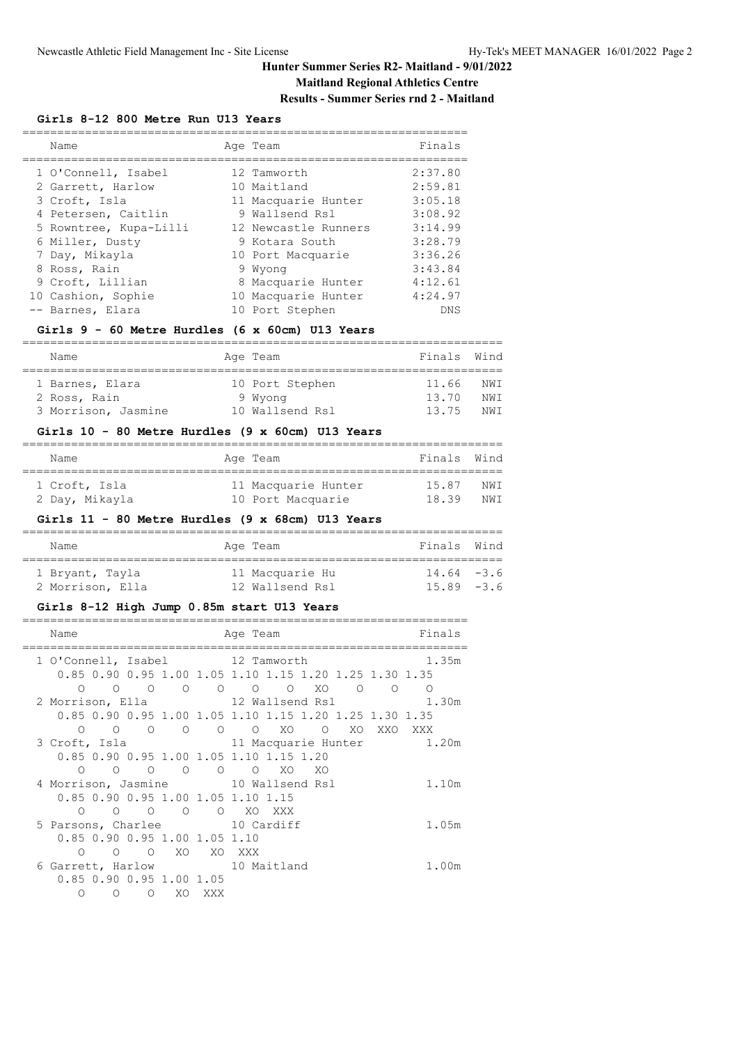# **Maitland Regional Athletics Centre**

### **Results - Summer Series rnd 2 - Maitland**

#### **Girls 8-12 800 Metre Run U13 Years**

|                                                                                                                                                                                                                                       | Finals                                                                                                                                                                                                                    |
|---------------------------------------------------------------------------------------------------------------------------------------------------------------------------------------------------------------------------------------|---------------------------------------------------------------------------------------------------------------------------------------------------------------------------------------------------------------------------|
|                                                                                                                                                                                                                                       | 2:37.80                                                                                                                                                                                                                   |
|                                                                                                                                                                                                                                       | 2:59.81                                                                                                                                                                                                                   |
|                                                                                                                                                                                                                                       | 3:05.18                                                                                                                                                                                                                   |
|                                                                                                                                                                                                                                       | 3:08.92                                                                                                                                                                                                                   |
|                                                                                                                                                                                                                                       | 3:14.99                                                                                                                                                                                                                   |
|                                                                                                                                                                                                                                       | 3:28.79                                                                                                                                                                                                                   |
|                                                                                                                                                                                                                                       | 3:36.26                                                                                                                                                                                                                   |
|                                                                                                                                                                                                                                       | 3:43.84                                                                                                                                                                                                                   |
|                                                                                                                                                                                                                                       | 4:12.61                                                                                                                                                                                                                   |
|                                                                                                                                                                                                                                       | 4:24.97                                                                                                                                                                                                                   |
|                                                                                                                                                                                                                                       | DNS                                                                                                                                                                                                                       |
| Name<br>1 O'Connell, Isabel<br>2 Garrett, Harlow<br>3 Croft, Isla<br>4 Petersen, Caitlin<br>5 Rowntree, Kupa-Lilli<br>6 Miller, Dusty<br>7 Day, Mikayla<br>8 Ross, Rain<br>9 Croft, Lillian<br>10 Cashion, Sophie<br>-- Barnes, Elara | Age Team<br>12 Tamworth<br>10 Maitland<br>11 Macquarie Hunter<br>9 Wallsend Rsl<br>12 Newcastle Runners<br>9 Kotara South<br>10 Port Macquarie<br>9 Wyong<br>8 Macquarie Hunter<br>10 Macquarie Hunter<br>10 Port Stephen |

### **Girls 9 - 60 Metre Hurdles (6 x 60cm) U13 Years**

| Name                | Age Team        | Finals Wind |      |
|---------------------|-----------------|-------------|------|
|                     |                 |             |      |
| 1 Barnes, Elara     | 10 Port Stephen | 11.66       | NW T |
| 2 Ross, Rain        | 9 Wyong         | 13.70       | NW T |
| 3 Morrison, Jasmine | 10 Wallsend Rsl | 13 75       | NM T |

### **Girls 10 - 80 Metre Hurdles (9 x 60cm) U13 Years**

| Name           | Age Team            | Finals Wind |      |
|----------------|---------------------|-------------|------|
| 1 Croft, Isla  | 11 Macquarie Hunter | 15.87       | NW T |
| 2 Day, Mikayla | 10 Port Macquarie   | 18.39       | NW T |

### **Girls 11 - 80 Metre Hurdles (9 x 68cm) U13 Years**

| Name                                | Age Team                           | Finals Wind                    |  |
|-------------------------------------|------------------------------------|--------------------------------|--|
| 1 Bryant, Tayla<br>2 Morrison, Ella | 11 Macquarie Hu<br>12 Wallsend Rsl | $14.64 - 3.6$<br>$15.89 - 3.6$ |  |

### **Girls 8-12 High Jump 0.85m start U13 Years**

| Name       |                               |            |                |                 | Age Team                                                        | Finals  |
|------------|-------------------------------|------------|----------------|-----------------|-----------------------------------------------------------------|---------|
|            |                               |            |                |                 | 1 O'Connell, Isabel 12 Tamworth                                 | 1.35m   |
|            |                               |            |                |                 | 0.85 0.90 0.95 1.00 1.05 1.10 1.15 1.20 1.25 1.30 1.35          |         |
| $\bigcirc$ |                               |            |                |                 |                                                                 | ∩       |
|            |                               |            |                |                 | 2 Morrison, Ella (12 Wallsend Rsl (2008) 1.30m                  |         |
|            |                               |            |                |                 | 0.85 0.90 0.95 1.00 1.05 1.10 1.15 1.20 1.25 1.30 1.35          |         |
| $\bigcirc$ |                               |            |                |                 | $\begin{matrix}0&0&0&0&0&0&\text{X0}&0&\text{X0}\end{matrix}$   | XXO XXX |
|            |                               |            |                |                 | 3 Croft, Isla                 11 Macquarie Hunter         1.20m |         |
|            |                               |            |                |                 | 0.85 0.90 0.95 1.00 1.05 1.10 1.15 1.20                         |         |
| ∩          | $\bigcirc$                    | $\bigcirc$ | $\overline{O}$ | $\circ$ $\circ$ | XO XO                                                           |         |
|            |                               |            |                |                 | 4 Morrison, Jasmine 10 Wallsend Rsl                             | 1.10m   |
|            |                               |            |                |                 | 0.85 0.90 0.95 1.00 1.05 1.10 1.15                              |         |
| $\circ$    |                               |            |                |                 | OOOOO XOXXX                                                     |         |
|            |                               |            |                |                 | 5 Parsons, Charlee 10 Cardiff                                   | 1.05m   |
|            | 0.85 0.90 0.95 1.00 1.05 1.10 |            |                |                 |                                                                 |         |
| ∩          | ∩                             | $\bigcirc$ | XO             |                 | XO XXX                                                          |         |
|            |                               |            |                |                 | 6 Garrett, Harlow 10 Maitland                                   | 1.00m   |
|            | $0.85$ 0.90 0.95 1.00 1.05    |            |                |                 |                                                                 |         |
| ∩          | ∩                             | $\bigcirc$ | XO             | XXX             |                                                                 |         |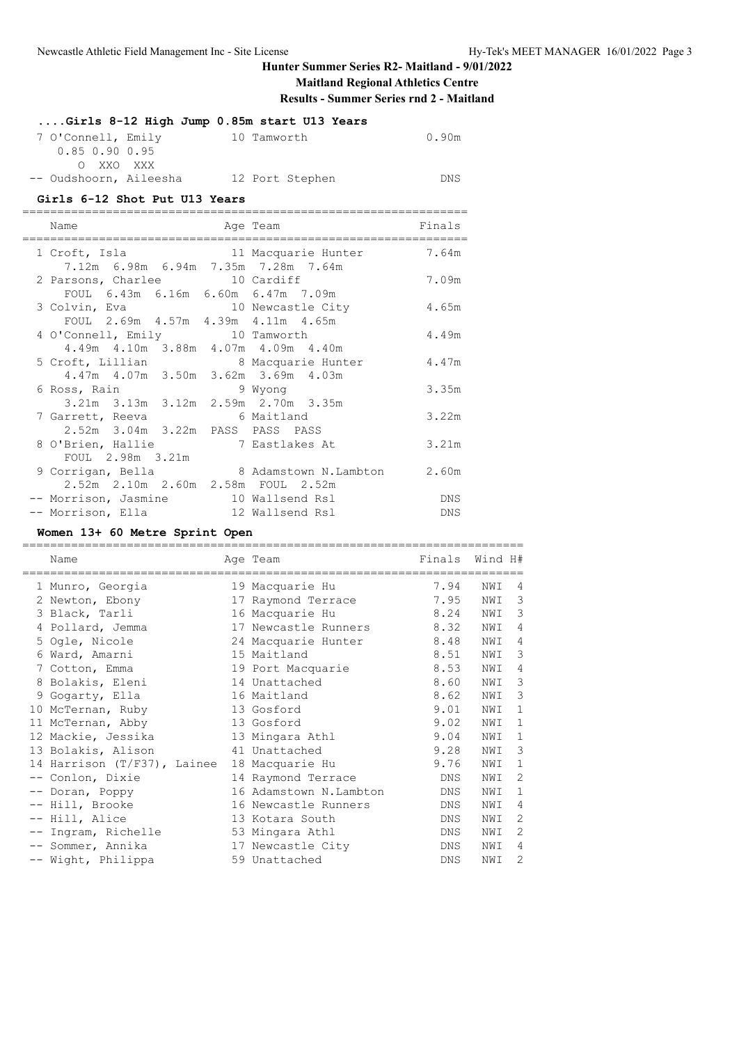**Maitland Regional Athletics Centre**

**Results - Summer Series rnd 2 - Maitland**

|                        | Girls 8-12 High Jump 0.85m start U13 Years |            |
|------------------------|--------------------------------------------|------------|
| 7 O'Connell, Emily     | 10 Tamworth                                | 0.90m      |
| 0.85 0.90 0.95         |                                            |            |
| O XXO XXX              |                                            |            |
| -- Oudshoorn, Aileesha | 12 Port Stephen                            | <b>DNS</b> |
|                        |                                            |            |

#### **Girls 6-12 Shot Put U13 Years**

| Name                                                                       | Age Team                                      | Finals |
|----------------------------------------------------------------------------|-----------------------------------------------|--------|
|                                                                            | 1 Croft, Isla and 11 Macquarie Hunter         | 7.64m  |
| 7.12m 6.98m 6.94m 7.35m 7.28m 7.64m                                        |                                               | 7.09m  |
| 2 Parsons, Charlee 10 Cardiff<br>FOUL 6.43m 6.16m 6.60m 6.47m 7.09m        |                                               |        |
| 3 Colvin, Eva 10 Newcastle City                                            |                                               | 4.65m  |
| FOUL 2.69m 4.57m 4.39m 4.11m 4.65m                                         |                                               |        |
| 4 O'Connell, Emily 10 Tamworth                                             |                                               | 4.49m  |
| 4.49m 4.10m 3.88m 4.07m 4.09m 4.40m                                        |                                               |        |
| 5 Croft, Lillian 8 Macquarie Hunter                                        |                                               | 4.47m  |
| 4.47m 4.07m 3.50m 3.62m 3.69m 4.03m                                        |                                               |        |
| 6 Ross, Rain                       9 Wyong                                 |                                               | 3.35m  |
| 3.21m 3.13m 3.12m 2.59m 2.70m 3.35m                                        |                                               |        |
| 7 Garrett, Reeva                                                           | 6 Maitland                                    | 3.22m  |
| 2.52m 3.04m 3.22m PASS PASS PASS                                           |                                               |        |
| 8 O'Brien, Hallie                                                          | 7 Eastlakes At                                | 3.21m  |
| FOUL 2.98m 3.21m                                                           |                                               |        |
|                                                                            | 9 Corrigan, Bella 8 Adamstown N.Lambton 2.60m |        |
| 2.52m 2.10m 2.60m 2.58m FOUL 2.52m<br>-- Morrison, Jasmine 10 Wallsend Rsl |                                               | DNS    |
| -- Morrison, Ella 12 Wallsend Rsl                                          |                                               | DNS    |
|                                                                            |                                               |        |

### **Women 13+ 60 Metre Sprint Open**

|                   | Name<br>========================= | Age Team               | Finals     | Wind H# |                |
|-------------------|-----------------------------------|------------------------|------------|---------|----------------|
|                   | 1 Munro, Georgia                  | 19 Macquarie Hu        | 7.94       | NWI     | 4              |
|                   | 2 Newton, Ebony                   | 17 Raymond Terrace     | 7.95       | NWI     | 3              |
|                   | 3 Black, Tarli                    | 16 Macquarie Hu        | 8.24       | NWI     | 3              |
|                   | 4 Pollard, Jemma                  | 17 Newcastle Runners   | 8.32       | NWI     | 4              |
|                   | 5 Ogle, Nicole                    | 24 Macquarie Hunter    | 8.48       | NWI     | $\overline{4}$ |
|                   | 6 Ward, Amarni                    | 15 Maitland            | 8.51       | NWI     | 3              |
|                   | 7 Cotton, Emma                    | 19 Port Macquarie      | 8.53       | NWI     | $\overline{4}$ |
|                   | 8 Bolakis, Eleni                  | 14 Unattached          | 8.60       | NWI     | 3              |
|                   | 9 Gogarty, Ella                   | 16 Maitland            | 8.62       | NWI     | 3              |
|                   | 10 McTernan, Ruby                 | 13 Gosford             | 9.01       | NWI     | 1              |
|                   | 11 McTernan, Abby                 | 13 Gosford             | 9.02       | NWI     | 1              |
|                   | 12 Mackie, Jessika                | 13 Mingara Athl        | 9.04       | NWI     | $\mathbf{1}$   |
|                   | 13 Bolakis, Alison                | 41 Unattached          | 9.28       | NWI     | 3              |
|                   | 14 Harrison (T/F37), Lainee       | 18 Macquarie Hu        | 9.76       | NWI     | 1              |
|                   | -- Conlon, Dixie                  | 14 Raymond Terrace     | DNS.       | NWI     | $\overline{c}$ |
|                   | -- Doran, Poppy                   | 16 Adamstown N.Lambton | <b>DNS</b> | NWI     | 1              |
|                   | -- Hill, Brooke                   | 16 Newcastle Runners   | DNS        | NWI     | 4              |
|                   | -- Hill, Alice                    | 13 Kotara South        | <b>DNS</b> | NWI     | $\overline{2}$ |
| $\qquad \qquad -$ | Ingram, Richelle                  | 53 Mingara Athl        | DNS.       | NWI     | $\overline{2}$ |
|                   | -- Sommer, Annika                 | 17 Newcastle City      | <b>DNS</b> | NWI     | $\overline{4}$ |
|                   | -- Wight, Philippa                | 59 Unattached          | <b>DNS</b> | NWI     | $\overline{2}$ |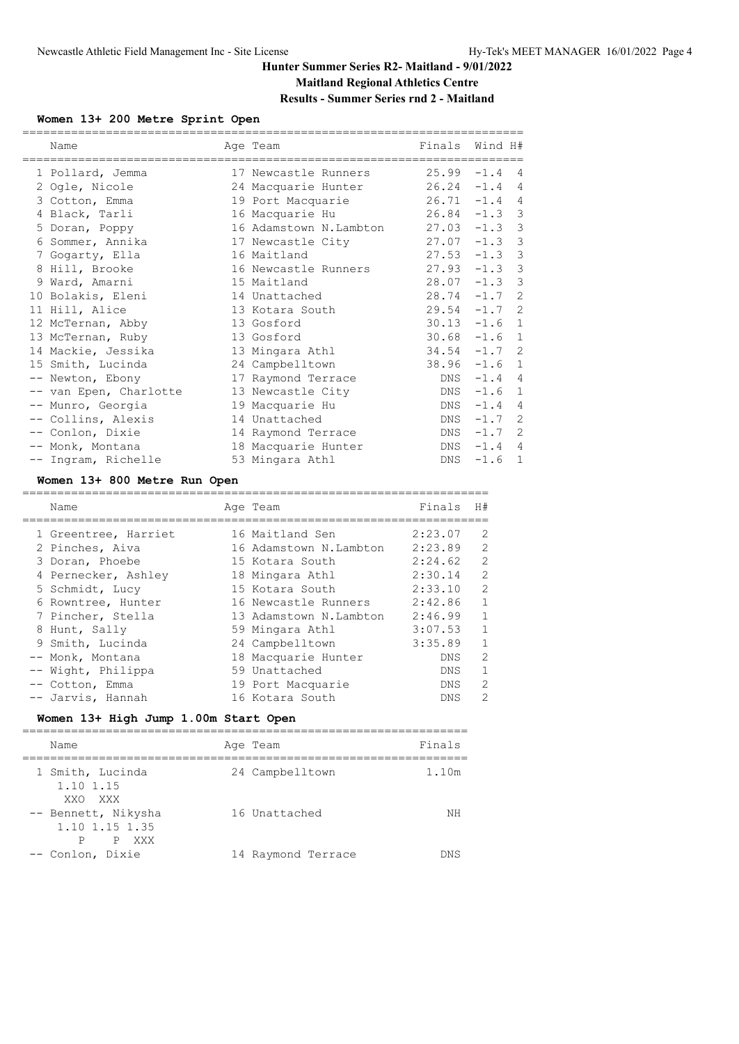# **Maitland Regional Athletics Centre Results - Summer Series rnd 2 - Maitland**

### **Women 13+ 200 Metre Sprint Open**

| ===========<br>Name    | Age Team               | Finals          | Wind H#  |                |
|------------------------|------------------------|-----------------|----------|----------------|
| 1 Pollard, Jemma       | 17 Newcastle Runners   | $25.99 - 1.4$ 4 |          |                |
| 2 Ogle, Nicole         | 24 Macquarie Hunter    | $26.24 -1.4$ 4  |          |                |
| 3 Cotton, Emma         | 19 Port Macquarie      | $26.71 - 1.4 4$ |          |                |
| 4 Black, Tarli         | 16 Macquarie Hu        | $26.84 -1.3$    |          | 3              |
| 5 Doran, Poppy         | 16 Adamstown N.Lambton | $27.03 - 1.3$   |          | 3              |
| 6 Sommer, Annika       | 17 Newcastle City      | $27.07 - 1.3$   |          | 3              |
| 7 Gogarty, Ella        | 16 Maitland            | $27.53 - 1.3$   |          | 3              |
| 8 Hill, Brooke         | 16 Newcastle Runners   | $27.93 - 1.3$   |          | 3              |
| 9 Ward, Amarni         | 15 Maitland            | $28.07 - 1.3$   |          | 3              |
| 10 Bolakis, Eleni      | 14 Unattached          | $28.74 - 1.7$   |          | 2              |
| 11 Hill, Alice         | 13 Kotara South        | $29.54 -1.7$    |          | -2             |
| 12 McTernan, Abby      | 13 Gosford             | $30.13 - 1.6$   |          | $\mathbf{1}$   |
| 13 McTernan, Ruby      | 13 Gosford             | $30.68 - 1.6$   |          | $\mathbf{1}$   |
| 14 Mackie, Jessika     | 13 Mingara Athl        | $34.54 -1.7$ 2  |          |                |
| 15 Smith, Lucinda      | 24 Campbelltown        | $38.96 - 1.6$   |          | $\mathbf{1}$   |
| -- Newton, Ebony       | 17 Raymond Terrace     | DNS             | $-1.4$   | 4              |
| -- van Epen, Charlotte | 13 Newcastle City      | DNS             | $-1.6$   | $\mathbf{1}$   |
| -- Munro, Georgia      | 19 Macquarie Hu        | DNS             | $-1.4$   | 4              |
| -- Collins, Alexis     | 14 Unattached          | DNS             | $-1.7$   | 2              |
| -- Conlon, Dixie       | 14 Raymond Terrace     | DNS             | $-1.7$ 2 |                |
| -- Monk, Montana       | 18 Macquarie Hunter    | DNS             | $-1.4$   | $\overline{4}$ |
| -- Ingram, Richelle    | 53 Mingara Athl        | DNS             | $-1.6$   | $\mathbf{1}$   |

### **Women 13+ 800 Metre Run Open**

| Name                 | Age Team               | Finals     | H#             |
|----------------------|------------------------|------------|----------------|
| 1 Greentree, Harriet | 16 Maitland Sen        | 2:23.07    | 2              |
| 2 Pinches, Aiva      | 16 Adamstown N.Lambton | 2:23.89    | 2              |
| 3 Doran, Phoebe      | 15 Kotara South        | 2:24.62    | $\overline{2}$ |
| 4 Pernecker, Ashley  | 18 Mingara Athl        | 2:30.14    | 2              |
| 5 Schmidt, Lucy      | 15 Kotara South        | 2:33.10    | 2              |
| 6 Rowntree, Hunter   | 16 Newcastle Runners   | 2:42.86    | $\mathbf{1}$   |
| 7 Pincher, Stella    | 13 Adamstown N.Lambton | 2:46.99    | -1             |
| 8 Hunt, Sally        | 59 Mingara Athl        | 3:07.53    | $\overline{1}$ |
| 9 Smith, Lucinda     | 24 Campbelltown        | 3:35.89    | $\mathbf{1}$   |
| -- Monk, Montana     | 18 Macquarie Hunter    | DNS.       | 2              |
| -- Wight, Philippa   | 59 Unattached          | DNS.       | $\mathbf{1}$   |
| -- Cotton, Emma      | 19 Port Macquarie      | DNS.       | 2              |
| -- Jarvis, Hannah    | 16 Kotara South        | <b>DNS</b> | $\mathcal{L}$  |

## **Women 13+ High Jump 1.00m Start Open**

| Name                                                | Age Team           | Finals |
|-----------------------------------------------------|--------------------|--------|
| 1 Smith, Lucinda<br>1.10 1.15<br>XXO XXX            | 24 Campbelltown    | 1.10m  |
| -- Bennett, Nikysha<br>1.10 1.15 1.35<br>P XXX<br>P | 16 Unattached      | ΝH     |
| -- Conlon, Dixie                                    | 14 Raymond Terrace | DNS    |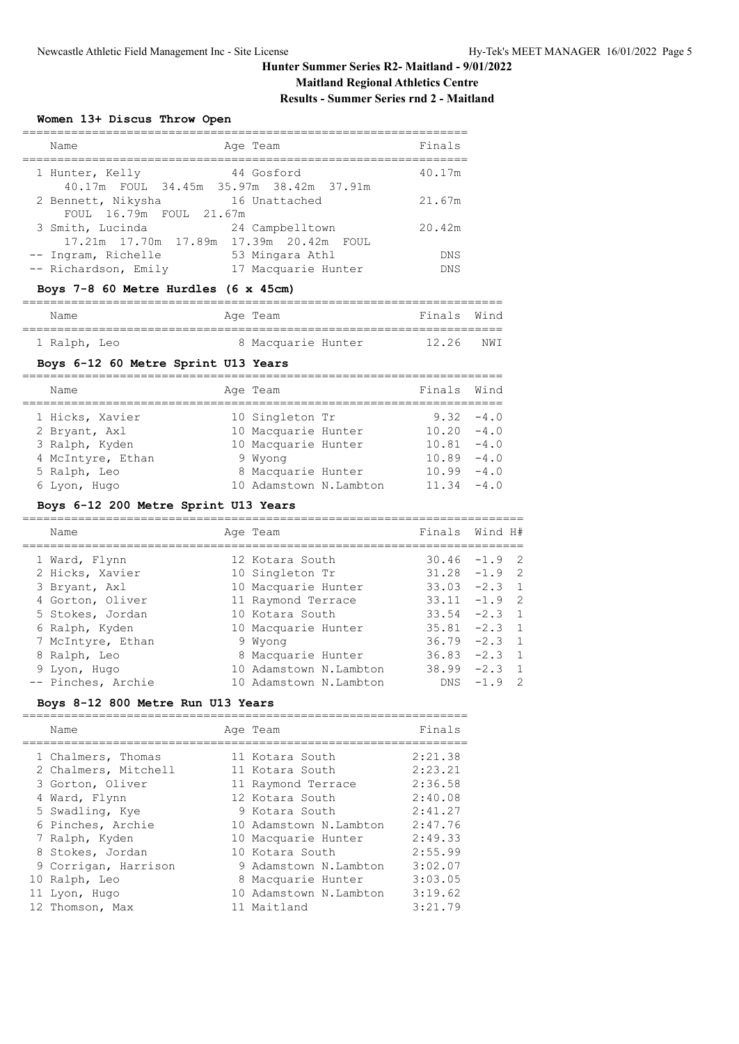### **Maitland Regional Athletics Centre Results - Summer Series rnd 2 - Maitland**

# **Women 13+ Discus Throw Open**

| Name                                                             | Age Team                               | Finals            |
|------------------------------------------------------------------|----------------------------------------|-------------------|
| 1 Hunter, Kelly<br>40.17m FOUL 34.45m 35.97m 38.42m 37.91m       | 44 Gosford                             | 40.17m            |
| 2 Bennett, Nikysha<br>FOUL 16.79m FOUL 21.67m                    | 16 Unattached                          | 21.67m            |
| 3 Smith, Lucinda<br>17.21m  17.70m  17.89m  17.39m  20.42m  FOUL | 24 Campbelltown                        | 20.42m            |
| -- Ingram, Richelle<br>-- Richardson, Emily                      | 53 Mingara Athl<br>17 Macquarie Hunter | DNS<br><b>DNS</b> |

### **Boys 7-8 60 Metre Hurdles (6 x 45cm)**

| Name         |  | Age Team           | Finals Wind |      |
|--------------|--|--------------------|-------------|------|
|              |  |                    |             |      |
| 1 Ralph, Leo |  | 8 Macquarie Hunter | 12.26       | NW I |

## **Boys 6-12 60 Metre Sprint U13 Years**

| Name              | Age Team               | Finals Wind   |              |
|-------------------|------------------------|---------------|--------------|
| 1 Hicks, Xavier   | 10 Singleton Tr        |               | $9.32 - 4.0$ |
| 2 Bryant, Axl     | 10 Macquarie Hunter    | $10.20 -4.0$  |              |
| 3 Ralph, Kyden    | 10 Macquarie Hunter    | $10.81 - 4.0$ |              |
| 4 McIntyre, Ethan | 9 Wyong                | $10.89 - 4.0$ |              |
| 5 Ralph, Leo      | 8 Macquarie Hunter     | $10.99 - 4.0$ |              |
| 6 Lyon, Hugo      | 10 Adamstown N.Lambton | $11.34 - 4.0$ |              |

### **Boys 6-12 200 Metre Sprint U13 Years**

| Name               | Age Team               | Finals Wind H#  |            |                |
|--------------------|------------------------|-----------------|------------|----------------|
| 1 Ward, Flynn      | 12 Kotara South        | $30.46 - 1.9$ 2 |            |                |
| 2 Hicks, Xavier    | 10 Singleton Tr        | $31.28 - 1.9$ 2 |            |                |
| 3 Bryant, Axl      | 10 Macquarie Hunter    | $33.03 -2.3$ 1  |            |                |
| 4 Gorton, Oliver   | 11 Raymond Terrace     | $33.11 -1.9$ 2  |            |                |
| 5 Stokes, Jordan   | 10 Kotara South        | $33.54 -2.3$ 1  |            |                |
| 6 Ralph, Kyden     | 10 Macquarie Hunter    | $35.81 -2.3$ 1  |            |                |
| 7 McIntyre, Ethan  | 9 Wyong                | $36.79 - 2.3$ 1 |            |                |
| 8 Ralph, Leo       | 8 Macquarie Hunter     | $36.83 -2.3$ 1  |            |                |
| 9 Lyon, Hugo       | 10 Adamstown N.Lambton | $38.99 - 2.3$ 1 |            |                |
| -- Pinches, Archie | 10 Adamstown N.Lambton |                 | $DNS -1.9$ | $\overline{2}$ |

### **Boys 8-12 800 Metre Run U13 Years**

| Name                 |  | Finals                                                                                                                                                                                                                                                                |
|----------------------|--|-----------------------------------------------------------------------------------------------------------------------------------------------------------------------------------------------------------------------------------------------------------------------|
| 1 Chalmers, Thomas   |  | 2:21.38                                                                                                                                                                                                                                                               |
| 2 Chalmers, Mitchell |  | 2:23.21                                                                                                                                                                                                                                                               |
| 3 Gorton, Oliver     |  | 2:36.58                                                                                                                                                                                                                                                               |
| 4 Ward, Flynn        |  | 2:40.08                                                                                                                                                                                                                                                               |
| 5 Swadling, Kye      |  | 2:41.27                                                                                                                                                                                                                                                               |
| 6 Pinches, Archie    |  | 2:47.76                                                                                                                                                                                                                                                               |
| 7 Ralph, Kyden       |  | 2:49.33                                                                                                                                                                                                                                                               |
| 8 Stokes, Jordan     |  | 2:55.99                                                                                                                                                                                                                                                               |
| 9 Corrigan, Harrison |  | 3:02.07                                                                                                                                                                                                                                                               |
| 10 Ralph, Leo        |  | 3:03.05                                                                                                                                                                                                                                                               |
| 11 Lyon, Hugo        |  | 3:19.62                                                                                                                                                                                                                                                               |
| 12 Thomson, Max      |  | 3:21.79                                                                                                                                                                                                                                                               |
|                      |  | Age Team<br>11 Kotara South<br>11 Kotara South<br>11 Raymond Terrace<br>12 Kotara South<br>9 Kotara South<br>10 Adamstown N.Lambton<br>10 Macquarie Hunter<br>10 Kotara South<br>9 Adamstown N.Lambton<br>8 Macquarie Hunter<br>10 Adamstown N.Lambton<br>11 Maitland |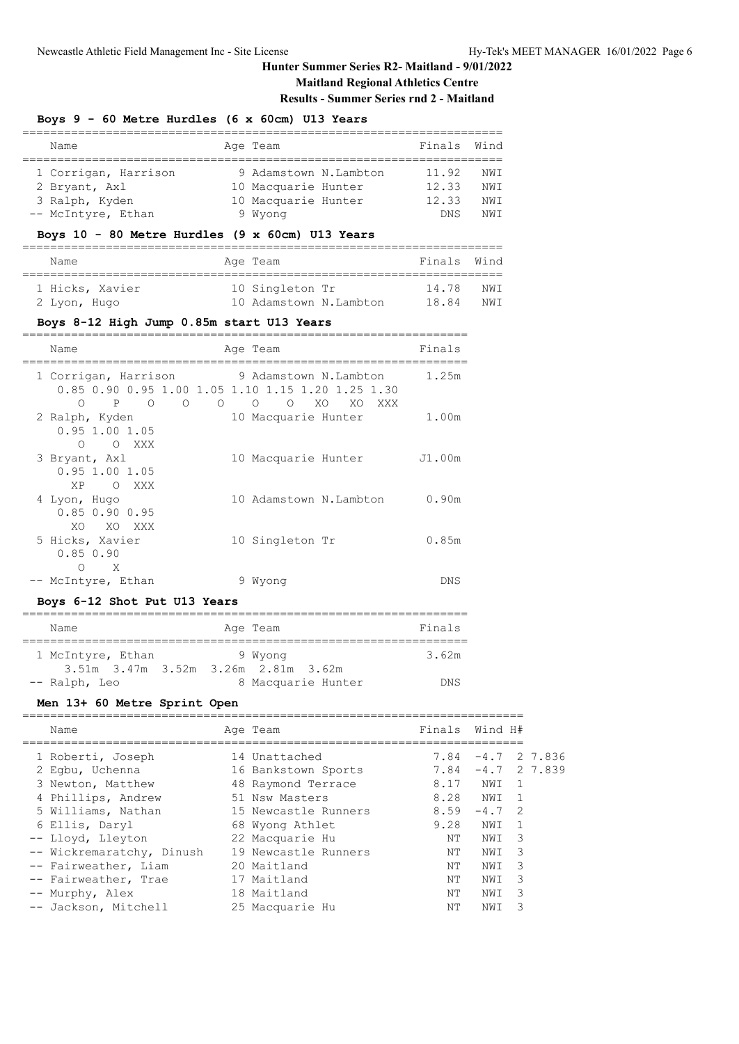## **Maitland Regional Athletics Centre Results - Summer Series rnd 2 - Maitland**

# **Boys 9 - 60 Metre Hurdles (6 x 60cm) U13 Years**

| Name                                            |  | Age Team              | Finals     | Wind |  |
|-------------------------------------------------|--|-----------------------|------------|------|--|
|                                                 |  |                       |            |      |  |
| 1 Corrigan, Harrison                            |  | 9 Adamstown N.Lambton | 11.92      | NWI  |  |
| 2 Bryant, Axl                                   |  | 10 Macquarie Hunter   | 12.33      | NW T |  |
| 3 Ralph, Kyden                                  |  | 10 Macquarie Hunter   | 12.33      | NW T |  |
| -- McIntyre, Ethan                              |  | 9 Wyong               | <b>DNS</b> | NW T |  |
| Boys 10 - 80 Metre Hurdles (9 x 60cm) U13 Years |  |                       |            |      |  |

| Name            | Age Team               | Finals Wind |      |
|-----------------|------------------------|-------------|------|
| 1 Hicks, Xavier | 10 Singleton Tr        | 14.78       | NW T |
| 2 Lyon, Hugo    | 10 Adamstown N.Lambton | 18.84       | NW T |

### **Boys 8-12 High Jump 0.85m start U13 Years**

| Name                                                                                    | Age Team                                                                                                               | Finals |
|-----------------------------------------------------------------------------------------|------------------------------------------------------------------------------------------------------------------------|--------|
| 1 Corrigan, Harrison<br>$P \qquad \qquad$<br>$\circ$<br>$\circ$<br>$\Omega$<br>$\Omega$ | 9 Adamstown N.Lambton<br>0.85 0.90 0.95 1.00 1.05 1.10 1.15 1.20 1.25 1.30<br>$\Omega$<br>XO<br>XO.<br>$\Omega$<br>XXX | 1.25m  |
| 2 Ralph, Kyden<br>$0.95$ 1.00 1.05<br>$\circ$<br>XXX X<br>$\bigcirc$                    | 10 Macquarie Hunter                                                                                                    | 1.00m  |
| 3 Bryant, Axl<br>$0.95$ 1.00 1.05<br>XP<br>$\overline{O}$<br>XXX X                      | 10 Macquarie Hunter                                                                                                    | J1.00m |
| 4 Lyon, Hugo<br>$0.85$ $0.90$ $0.95$<br>XO.<br>XO.<br><b>XXX</b>                        | 10 Adamstown N.Lambton                                                                                                 | 0.90m  |
| 5 Hicks, Xavier<br>0.850.90<br>X<br>∩                                                   | 10 Singleton Tr                                                                                                        | 0.85m  |
| -- McIntyre, Ethan                                                                      | 9 Wyong                                                                                                                | DNS    |

### **Boys 6-12 Shot Put U13 Years**

| Name                                            | Age Team           | Finals |
|-------------------------------------------------|--------------------|--------|
| 1 McIntyre, Ethan                               | 9 Wyong            | 3.62m  |
| $3.51m$ $3.47m$ $3.52m$ $3.26m$ $2.81m$ $3.62m$ |                    |        |
| -- Ralph, Leo                                   | 8 Macquarie Hunter | DNS    |

## **Men 13+ 60 Metre Sprint Open**

| Name                      | Age Team             | Finals   | Wind H#  |                |
|---------------------------|----------------------|----------|----------|----------------|
|                           |                      |          |          |                |
| 1 Roberti, Joseph         | 14 Unattached        | 7.84     |          | $-4.7$ 2 7.836 |
| 2 Egbu, Uchenna           | 16 Bankstown Sports  | 7.84     |          | $-4.7$ 2 7.839 |
| 3 Newton, Matthew         | 48 Raymond Terrace   | 8.17     | NWI      | $\overline{1}$ |
| 4 Phillips, Andrew        | 51 Nsw Masters       | 8.28 NWI |          | $\overline{1}$ |
| 5 Williams, Nathan        | 15 Newcastle Runners | 8.59     | $-4.7$ 2 |                |
| 6 Ellis, Daryl            | 68 Wyong Athlet      | 9.28     | NWI      | $\overline{1}$ |
| -- Lloyd, Lleyton         | 22 Macquarie Hu      | NΤ       | NWI      | -3             |
| -- Wickremaratchy, Dinush | 19 Newcastle Runners | NΤ       | NWI      | 3              |
| -- Fairweather, Liam      | 20 Maitland          | NΤ       | NWI      | 3              |
| -- Fairweather, Trae      | 17 Maitland          | NΤ       | NWI      | 3              |
| -- Murphy, Alex           | 18 Maitland          | NΤ       | NWI      | 3              |
| -- Jackson, Mitchell      | 25 Macquarie Hu      | NΤ       | NWI      | 3              |
|                           |                      |          |          |                |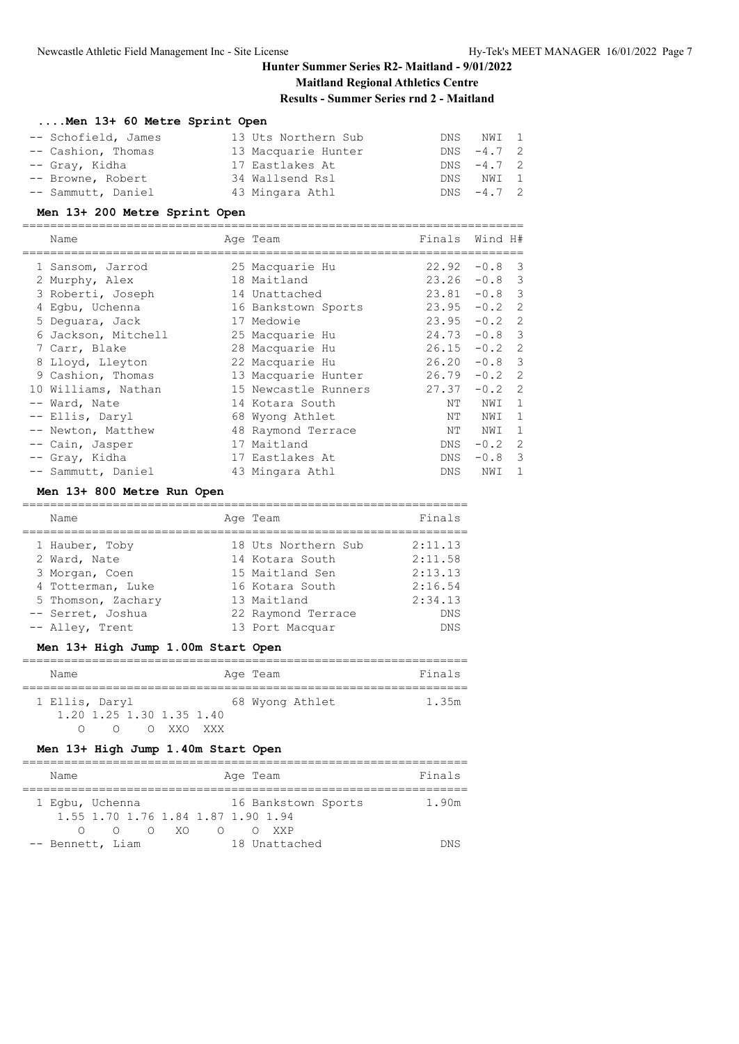### **Maitland Regional Athletics Centre Results - Summer Series rnd 2 - Maitland**

### **....Men 13+ 60 Metre Sprint Open**

| -- Schofield, James | 13 Uts Northern Sub | DNS NWI 1     |  |
|---------------------|---------------------|---------------|--|
| -- Cashion, Thomas  | 13 Macquarie Hunter | $DNS - 4.7 2$ |  |
| -- Gray, Kidha      | 17 Eastlakes At     | $DNS - 4.7 2$ |  |
| -- Browne, Robert   | 34 Wallsend Rsl     | DNS NWI 1     |  |
| -- Sammutt, Daniel  | 43 Mingara Athl     | $DNS -4.7 2$  |  |

### **Men 13+ 200 Metre Sprint Open**

======================================================================== Name Age Team Finals Wind H#

| Ndille              | Age ream             | Filldis         | WING H#  |                         |
|---------------------|----------------------|-----------------|----------|-------------------------|
| 1 Sansom, Jarrod    | 25 Macquarie Hu      | 22.92           | $-0.8$   | $\overline{\mathbf{3}}$ |
| 2 Murphy, Alex      | 18 Maitland          | $23.26 -0.8$ 3  |          |                         |
| 3 Roberti, Joseph   | 14 Unattached        | $23.81 - 0.8$ 3 |          |                         |
| 4 Eqbu, Uchenna     | 16 Bankstown Sports  | $23.95 -0.2$ 2  |          |                         |
| 5 Dequara, Jack     | 17 Medowie           | 23.95           | $-0.2$ 2 |                         |
| 6 Jackson, Mitchell | 25 Macquarie Hu      | 24.73           | $-0.8$ 3 |                         |
| 7 Carr, Blake       | 28 Macquarie Hu      | $26.15 - 0.2$ 2 |          |                         |
| 8 Lloyd, Lleyton    | 22 Macquarie Hu      | 26.20           | $-0.8$ 3 |                         |
| 9 Cashion, Thomas   | 13 Macquarie Hunter  | 26.79           | $-0.2$ 2 |                         |
| 10 Williams, Nathan | 15 Newcastle Runners | 27.37           | $-0.2$   | $\overline{2}$          |
| -- Ward, Nate       | 14 Kotara South      | NΤ              | NWI      | 1                       |
| -- Ellis, Daryl     | 68 Wyong Athlet      | ΝT              | NWI      | 1                       |
| -- Newton, Matthew  | 48 Raymond Terrace   | ΝT              | NWI      | 1                       |
| -- Cain, Jasper     | 17 Maitland          | DNS             | $-0.2$   | -2                      |
| -- Gray, Kidha      | 17 Eastlakes At      | DNS             | $-0.8$   | 3                       |
| -- Sammutt, Daniel  | 43 Mingara Athl      | DNS.            | NWI      | 1                       |

### **Men 13+ 800 Metre Run Open**

| Name                                                                                                             | Age Team                                                                                                          | Finals                                                            |
|------------------------------------------------------------------------------------------------------------------|-------------------------------------------------------------------------------------------------------------------|-------------------------------------------------------------------|
| 1 Hauber, Toby<br>2 Ward, Nate<br>3 Morgan, Coen<br>4 Totterman, Luke<br>5 Thomson, Zachary<br>-- Serret, Joshua | 18 Uts Northern Sub<br>14 Kotara South<br>15 Maitland Sen<br>16 Kotara South<br>13 Maitland<br>22 Raymond Terrace | 2:11.13<br>2:11.58<br>2:13.13<br>2:16.54<br>2:34.13<br><b>DNS</b> |
| -- Alley, Trent                                                                                                  | 13 Port Macquar                                                                                                   | <b>DNS</b>                                                        |
|                                                                                                                  |                                                                                                                   |                                                                   |

### **Men 13+ High Jump 1.00m Start Open**

|  | Name           |  |  |                          |  |  | Age Team |                 | Finals |
|--|----------------|--|--|--------------------------|--|--|----------|-----------------|--------|
|  | 1 Ellis, Daryl |  |  |                          |  |  |          | 68 Wyong Athlet | 1.35m  |
|  |                |  |  | 1.20 1.25 1.30 1.35 1.40 |  |  |          |                 |        |
|  |                |  |  | XXO XXX                  |  |  |          |                 |        |

### **Men 13+ High Jump 1.40m Start Open**

|  | Name             |  |  |      |                                    | Age Team |               |                     | Finals |
|--|------------------|--|--|------|------------------------------------|----------|---------------|---------------------|--------|
|  | 1 Egbu, Uchenna  |  |  | O XO | 1.55 1.70 1.76 1.84 1.87 1.90 1.94 |          | <b>XXP</b>    | 16 Bankstown Sports | 1.90m  |
|  | -- Bennett, Liam |  |  |      |                                    |          | 18 Unattached |                     | אור    |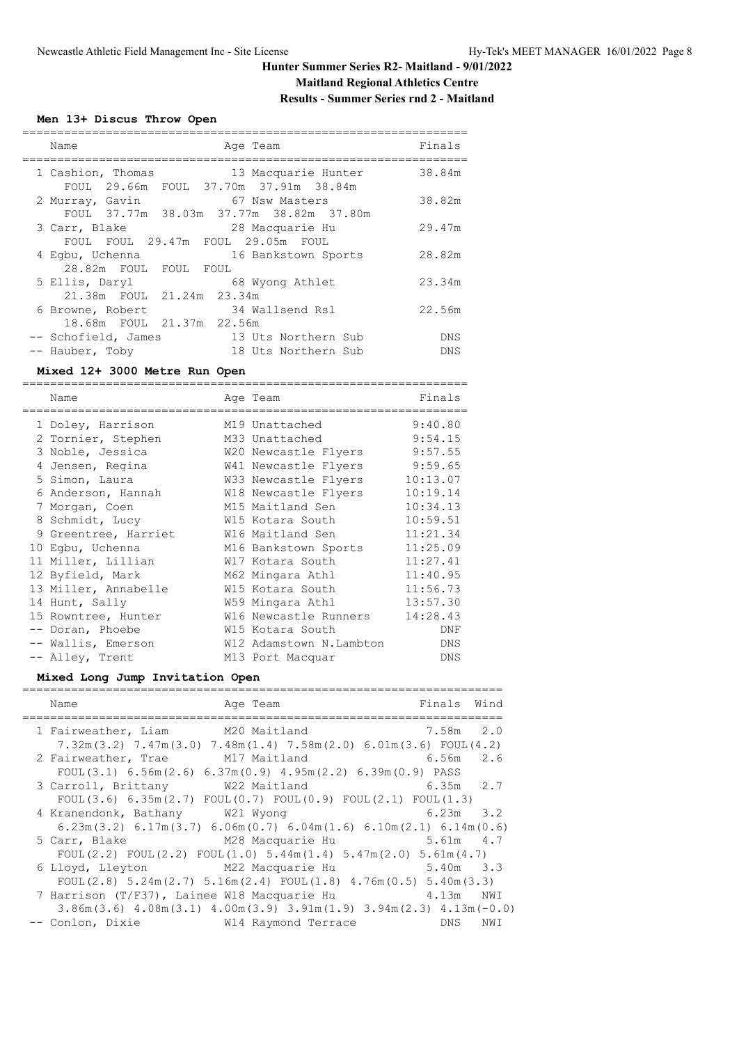# **Maitland Regional Athletics Centre**

# **Results - Summer Series rnd 2 - Maitland**

## **Men 13+ Discus Throw Open**

| Name                                                       | Age Team                                   | Finals     |
|------------------------------------------------------------|--------------------------------------------|------------|
| 1 Cashion, Thomas<br>FOUL 29.66m FOUL 37.70m 37.91m 38.84m | 13 Macquarie Hunter                        | 38.84m     |
| 2 Murray, Gavin<br>FOUL 37.77m 38.03m 37.77m 38.82m 37.80m | 67 Nsw Masters                             | 38.82m     |
| 3 Carr, Blake<br>FOUL FOUL 29.47m FOUL 29.05m FOUL         | 28 Macquarie Hu                            | 29.47m     |
| 4 Eqbu, Uchenna<br>28.82m FOUL FOUL FOUL                   | 16 Bankstown Sports                        | 28.82m     |
| 5 Ellis, Daryl<br>21.38m FOUL 21.24m 23.34m                | 68 Wyong Athlet                            | 23.34m     |
| 6 Browne, Robert<br>18.68m FOUL 21.37m 22.56m              | 34 Wallsend Rsl                            | 22.56m     |
| -- Schofield, James<br>Hauber, Toby                        | 13 Uts Northern Sub<br>18 Uts Northern Sub | DNS<br>DNS |

### **Mixed 12+ 3000 Metre Run Open**

| Name                 | Age Team                | Finals     |
|----------------------|-------------------------|------------|
|                      |                         |            |
| 1 Doley, Harrison    | M19 Unattached          | 9:40.80    |
| 2 Tornier, Stephen   | M33 Unattached          | 9:54.15    |
| 3 Noble, Jessica     | W20 Newcastle Flyers    | 9:57.55    |
| 4 Jensen, Regina     | W41 Newcastle Flyers    | 9:59.65    |
| 5 Simon, Laura       | W33 Newcastle Flyers    | 10:13.07   |
| 6 Anderson, Hannah   | W18 Newcastle Flyers    | 10:19.14   |
| 7 Morgan, Coen       | M15 Maitland Sen        | 10:34.13   |
| 8 Schmidt, Lucy      | W15 Kotara South        | 10:59.51   |
| 9 Greentree, Harriet | W16 Maitland Sen        | 11:21.34   |
| 10 Eqbu, Uchenna     | M16 Bankstown Sports    | 11:25.09   |
| 11 Miller, Lillian   | W17 Kotara South        | 11:27.41   |
| 12 Byfield, Mark     | M62 Mingara Athl        | 11:40.95   |
| 13 Miller, Annabelle | W15 Kotara South        | 11:56.73   |
| 14 Hunt, Sally       | W59 Mingara Athl        | 13:57.30   |
| 15 Rowntree, Hunter  | W16 Newcastle Runners   | 14:28.43   |
| -- Doran, Phoebe     | W15 Kotara South        | DNF        |
| -- Wallis, Emerson   | W12 Adamstown N.Lambton | <b>DNS</b> |
| -- Alley, Trent      | M13 Port Macquar        | DNS        |

### **Mixed Long Jump Invitation Open**

| Name                                        | Age Team                                                                                      | Finals        | Wind |
|---------------------------------------------|-----------------------------------------------------------------------------------------------|---------------|------|
| 1 Fairweather, Liam                         | M20 Maitland<br>$7.32m(3.2)$ $7.47m(3.0)$ $7.48m(1.4)$ $7.58m(2.0)$ $6.01m(3.6)$ FOUL $(4.2)$ | $7.58m$ 2.0   |      |
| 2 Fairweather, Trae                         | M17 Maitland<br>FOUL $(3.1)$ 6.56m $(2.6)$ 6.37m $(0.9)$ 4.95m $(2.2)$ 6.39m $(0.9)$ PASS     | 6.56m 2.6     |      |
| 3 Carroll, Brittany W22 Maitland            | FOUL(3.6) $6.35m(2.7)$ FOUL(0.7) FOUL(0.9) FOUL(2.1) FOUL(1.3)                                | $6.35m$ 2.7   |      |
| 4 Kranendonk, Bathany W21 Wyong             | $6.23$ m(3.2) $6.17$ m(3.7) $6.06$ m(0.7) $6.04$ m(1.6) $6.10$ m(2.1) $6.14$ m(0.6)           | $6.23m$ $3.2$ |      |
| 5 Carr, Blake                               | M28 Macquarie Hu<br>FOUL(2.2) FOUL(2.2) FOUL(1.0) $5.44m(1.4)$ $5.47m(2.0)$ $5.61m(4.7)$      | 5.61m 4.7     |      |
| 6 Lloyd, Lleyton M22 Macquarie Hu           | $5.40m$ $3.3$<br>FOUL(2.8) $5.24$ m(2.7) $5.16$ m(2.4) FOUL(1.8) $4.76$ m(0.5) $5.40$ m(3.3)  |               |      |
| 7 Harrison (T/F37), Lainee W18 Macquarie Hu | $3.86$ m $(3.6)$ 4.08 m $(3.1)$ 4.00 m $(3.9)$ 3.91 m $(1.9)$ 3.94 m $(2.3)$ 4.13 m $(-0.0)$  | 4.13m NWI     |      |
| -- Conlon, Dixie                            | W14 Raymond Terrace                                                                           | DNS.          | NWI  |